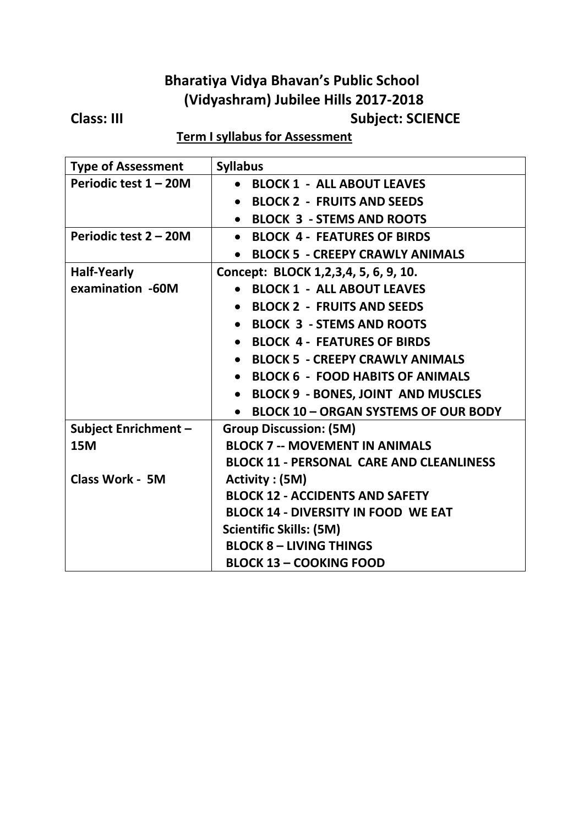# **Bharatiya Vidya Bhavan's Public School (Vidyashram) Jubilee Hills 2017-2018**

## **Subject: SCIENCE**

### **Term I syllabus for Assessment**

| <b>Type of Assessment</b>   | <b>Syllabus</b>                                          |
|-----------------------------|----------------------------------------------------------|
| Periodic test 1 - 20M       | <b>BLOCK 1 - ALL ABOUT LEAVES</b><br>$\bullet$           |
|                             | <b>BLOCK 2 - FRUITS AND SEEDS</b><br>$\bullet$           |
|                             | <b>BLOCK 3 - STEMS AND ROOTS</b>                         |
| Periodic test 2 - 20M       | <b>BLOCK 4 - FEATURES OF BIRDS</b><br>$\bullet$          |
|                             | <b>BLOCK 5 - CREEPY CRAWLY ANIMALS</b><br>$\bullet$      |
| <b>Half-Yearly</b>          | Concept: BLOCK 1,2,3,4, 5, 6, 9, 10.                     |
| examination -60M            | <b>BLOCK 1 - ALL ABOUT LEAVES</b>                        |
|                             | <b>BLOCK 2 - FRUITS AND SEEDS</b><br>$\bullet$           |
|                             | <b>BLOCK 3 - STEMS AND ROOTS</b><br>$\bullet$            |
|                             | <b>BLOCK 4 - FEATURES OF BIRDS</b>                       |
|                             | <b>BLOCK 5 - CREEPY CRAWLY ANIMALS</b><br>$\bullet$      |
|                             | <b>BLOCK 6 - FOOD HABITS OF ANIMALS</b><br>$\bullet$     |
|                             | <b>BLOCK 9 - BONES, JOINT AND MUSCLES</b><br>$\bullet$   |
|                             | <b>BLOCK 10 - ORGAN SYSTEMS OF OUR BODY</b><br>$\bullet$ |
| <b>Subject Enrichment -</b> | <b>Group Discussion: (5M)</b>                            |
| <b>15M</b>                  | <b>BLOCK 7 -- MOVEMENT IN ANIMALS</b>                    |
|                             | <b>BLOCK 11 - PERSONAL CARE AND CLEANLINESS</b>          |
| <b>Class Work - 5M</b>      | Activity : (5M)                                          |
|                             | <b>BLOCK 12 - ACCIDENTS AND SAFETY</b>                   |
|                             | <b>BLOCK 14 - DIVERSITY IN FOOD WE EAT</b>               |
|                             | <b>Scientific Skills: (5M)</b>                           |
|                             | <b>BLOCK 8 - LIVING THINGS</b>                           |
|                             | <b>BLOCK 13 - COOKING FOOD</b>                           |